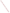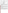| <b>VVIRO</b>                | UNITED STATES ENVIRONMENTAL PROTECTION AGENCY<br>Office of Research and Development<br>Washington, D.C. 20460<br>ETV |  |
|-----------------------------|----------------------------------------------------------------------------------------------------------------------|--|
|                             | <b>ENVIRONMENTAL TECHNOLOGY VERIFICATION PROGRAM</b><br><b>VERIFICATION STATEMENT</b>                                |  |
| TECHNOLOGY TYPE:            | PASSIVE SOIL GAS SAMPLER                                                                                             |  |
| <b>APPLICATION:</b>         | SUBSURFACE SOIL GAS SAMPLING                                                                                         |  |
| TECHNOLOGY NAME:            | <b>GORE-SORBER® SCREENING SURVEY PASSIVE SOIL GAS</b><br><b>SAMPLING SYSTEM</b>                                      |  |
| COMPANY:<br><b>ADDRESS:</b> | W.L. GORE & ASSOCIATES, INC.<br><b>100 CHESAPEAKE BOULEVARD</b><br>ELKTON, MARYLAND 21921                            |  |
| PHONE:                      | $(410)$ 392-7600                                                                                                     |  |

## ETV PROGRAM DESCRIPTION

The U.S. Environmental Protection Agency (EPA) created the Environmental Technology Verification (ETV) Program to facilitate the deployment of innovative technologies through performance verification and information dissemination. The goal of the ETV Program is to further environmental protection by substantially accelerating the acceptance and use of improved and cost-effective technologies. The ETV Program is intended to assist and inform those involved in the design, distribution, permitting, and purchase of environmental technologies. This document summarizes the results of a demonstration of the W.L. Gore & Associates, Inc., GORE-SORBER<sup>®</sup> Screening Survey passive soil gas sampling system.

## PROGRAM OPERATION

Under the ETV Program and with the full participation of the technology developer, the EPA evaluates the performance of innovative technologies by developing demonstration plans, conducting field tests, collecting and analyzing demonstration data, and preparing reports. The technologies are evaluated under rigorous quality assurance (QA) protocols to ensure that data of known and adequate quality are generated and that the demonstration results are defensible. The EPA's National Exposure Research Laboratory, which demonstrates field characterization and monitoring technologies, selected Tetra Tech EM Inc. as the verification organization to assist in field testing various soil and soil gas sampling technologies. This demonstration was conducted under EPA's Superfund Innovative Technology Evaluation Program.

#### DEMONSTRATION DESCRIPTION

In May and June 1997, the EPA conducted a field test of the GORE-SORBER<sup>®</sup> Screening Survey passive soil gas sampling system along with one other soil gas and four soil sampling technologies. This verification statement focuses on the GORE-SORBER® Screening Survey passive soil gas sampling system; similar statements have been prepared for each of the other technologies. The performance of the GORE-SORBER<sup>®</sup> Screening Survey passive soil gas sampling system was compared to the reference sampling method, active soil gas sampling (which provides a snapshot of the soil gas environment at the time the sample is collected). The comparison addressed three parameters: (1) volatile organic compound (VOC) detection and quantitation, (2) sample retrieval time, and (3) cost. Data quality indicators for precision, accuracy, representativeness, completeness, and comparability were also assessed against project-specific QA objectives to ensure the usefulness of the data.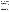The GORE-SORBER<sup>®</sup> Screening Survey passive soil gas sampling system was demonstrated at two sites: the Small Business Administration (SBA) site in Albert City, Iowa, and the Chemical Sales Company (CSC) site in Denver, Colorado. These sites were chosen because each site exhibited a wide range of VOC concentrations and a distinct soil type. The VOCs detected at the sites include vinyl chloride; cis-1,2-dichloroethene (cis-1,2-DCE); 1,1dichloroethane (1,1-DCA); 1,1,1-trichloroethane (1,1,1-TCA); trichloroethene (TCE); and tetrachloroethene (PCE). The SBA site is composed primarily of clay soil, and the CSC site is composed primarily of medium- to fine-grained sandy soil. A complete description of the demonstration, including a data summary and discussion of results, is available in the report titled *Environmental Technology Verification Report: Passive Soil Gas Sampler, W.L. Gore & Associates, Inc., GORE-SORBER*® Screening Survey, EPA 600/R-98/095.

## **TECHNOLOGY DESCRIPTION**

The GORE-SORBER<sup>®</sup> Screening Survey uses GORE-SORBER<sup>®</sup> modules to collect soil gas samples. The GORE-SORBER<sup>®</sup> module is a passive soil gas sampler that is designed to collect a broad range of VOCs and semivolatile organic compounds (SVOC), including halogenated compounds, petroleum hydrocarbons, and polynuclear aromatic hydrocarbons. A typical GORE-SORBER<sup>®</sup> module contains two or more passive collection units called sorbers. Each sorber contains an equal amount of sorbent materials (polymeric and carbonaceous resins). These granular adsorbent materials are used because of their affinity for a broad range of VOCs and SVOCs. The sorbers are sheathed in the bottom of a 4-foot-long, vapor-permeable retrieval cord. The cord and the sorbers are constructed of inert, hydrophobic, microporous GORE-TEX® expanded polytetrafluoroethene (ePTFE). The microporous structure of ePTFE allows vapors to move freely across the membrane and onto the sorbent material. This microporous structure also protects the granular adsorbents from physical contact with soil particulates and water. The GORE-SORBER<sup>®</sup> module is installed to a depth of 2 to 3 feet. A pilot hole is created using a slide hammer and tile probe or hand drill (in paved areas). The sampler is then manually inserted into the hole using push rods. The module is retrieved by hand and must be analyzed by the developer.

# **VERIFICATION OF PERFORMANCE**

The demonstration data indicate the following performance characteristics for the GORE-SORBER® Screening Survey passive soil gas sampling system:

*VOC Detection and Quantitation*: The GORE-SORBER® Screening Survey detected the same compounds in each sample as the reference soil gas sampling method, as well as several VOCs that the reference method did not detect. This performance characteristic suggests that the GORE-SORBER<sup>®</sup> Screening Survey may detect VOCs that are at lower concentrations in the subsurface than the reference soil gas sampling method can detect. The results also indicate a general correlation between the GORE-SORBER<sup>®</sup> Screening Survey and reference method data. However, at high contaminant levels, the ratio between the mass of contaminant in soil gas detected using the  $GORE-SORBER<sup>®</sup>$  module and the concentration of contaminant in soil gas detected using the reference soil gas sampling method decreases, suggesting that sorbent saturation may have occurred. The GORE-SORBER<sup>®</sup> Screening Survey and reference method are field screening techniques that provide only an estimate of the actual concentration of contaminants in soil gas. Because the GORE-SORBER® Screening Survey and reference method use different techniques to collect soil gas samples, it is not expected that the two methods will provide the same response or that the data will be directly comparable. In addition, the GORE-SORBER<sup>®</sup> Screening Survey yields results in micrograms per sample and the reference soil gas sampling method reports results in nanograms per liter. Therefore, a statistical analysis of the data was not performed, and interpretation of the chemical concentration data for this demonstration is limited to qualitative observations.

**Sample Retrieval Time**: Installation of the GORE-SORBER<sup>®</sup> modules averaged 8.0 minutes per sampler at the SBA site and 7.4 minutes per sampler at the CSC site. For the demonstration, the modules were left in place for approximately 10 days. Collection of the modules required an average of 1.9 minutes per sampler at the SBA site and 2.4 minutes at the CSC site. Overall, installation and collection of 35 GORE-SORBER® modules at the SBA site required 346 minutes, an average of 9.9 minutes per sample and installation and collection of 28 GORE- $\text{SORBER}^{\circledast}$  modules at the CSC site required 274 minutes, an average of 9.8 minutes per sample. The analysis an reporting by the technology developer required 14 to 18 days from the time samples were collected until the laboratory report was delivered. The reference soil gas method required 458 minutes to collect 35 samples at the SBA site, an average of 13.1 minutes per sample, and 183 minutes to collect 28 samples at the CSC site, an average